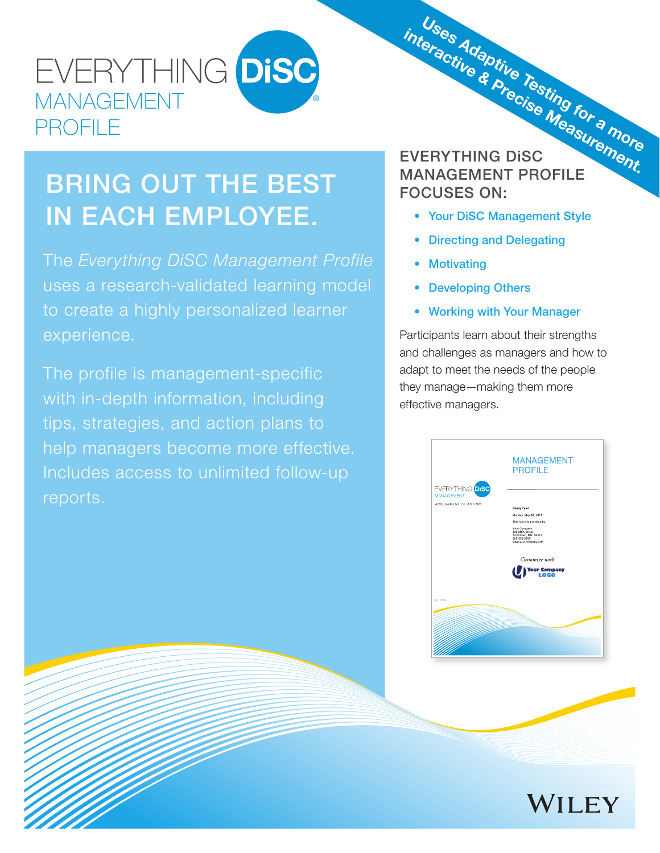## EVERYTHING DISC MANAGEMENT PROFILE

# BRING OUT THE BEST IN EACH EMPLOYEE.

The *Everything DiSC Management Profile* uses a research-validated learning model to create a highly personalized learner experience.

The profile is management-specific with in-depth information, including tips, strategies, and action plans to help managers become more effective. Includes access to unlimited follow-up reports.

# EVERYTHING DiSC MANAGEMENT PROFILE FOCUSES ON: Uses Adaptive Testing for a more interactive & Precise Measurement.

- Your DiSC Management Style
- Directing and Delegating
- Motivating
- Developing Others
- Working with Your Manager

 Participants learn about their strengths and challenges as managers and how to adapt to meet the needs of the people they manage—making them more effective managers.